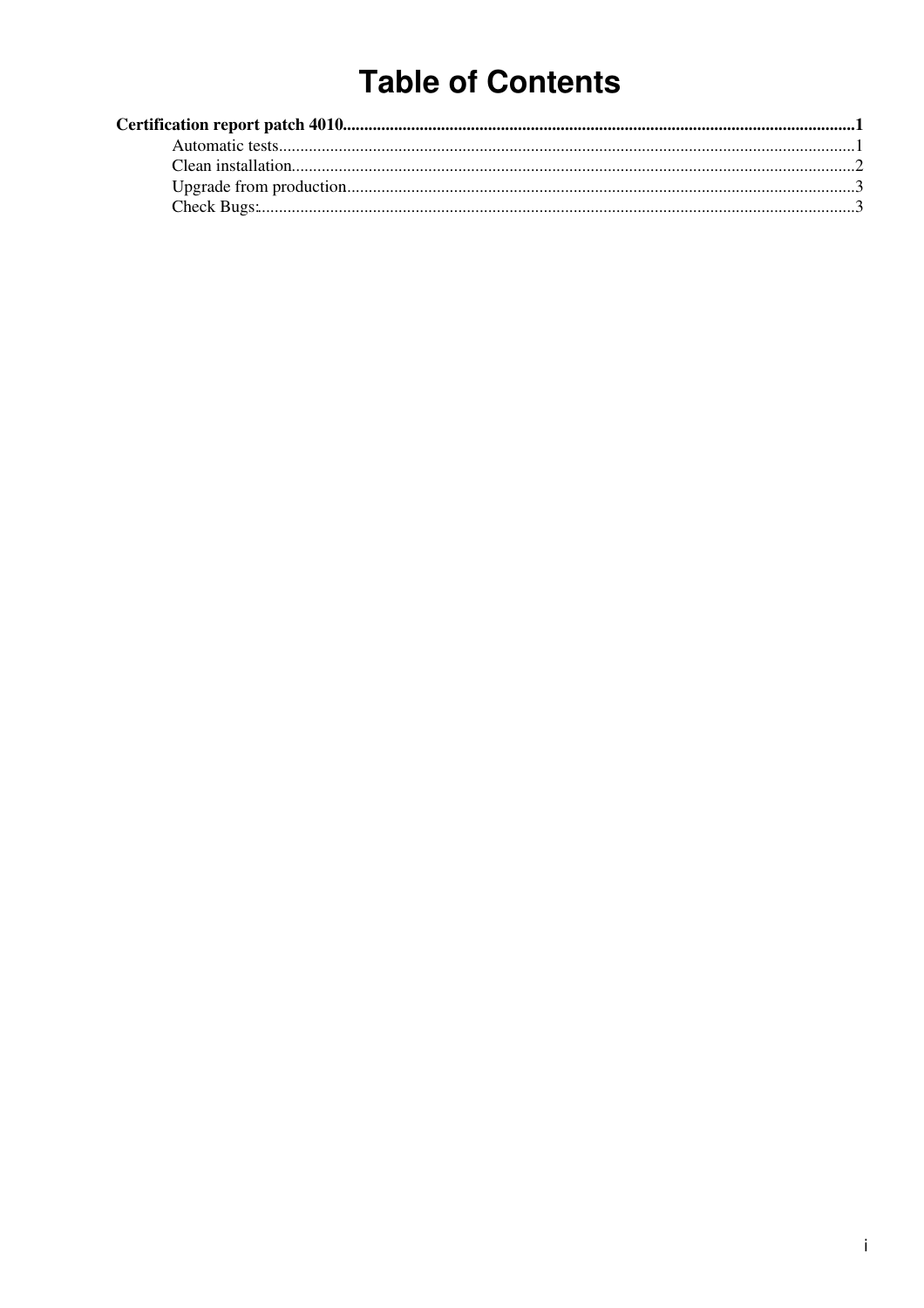# **Table of Contents**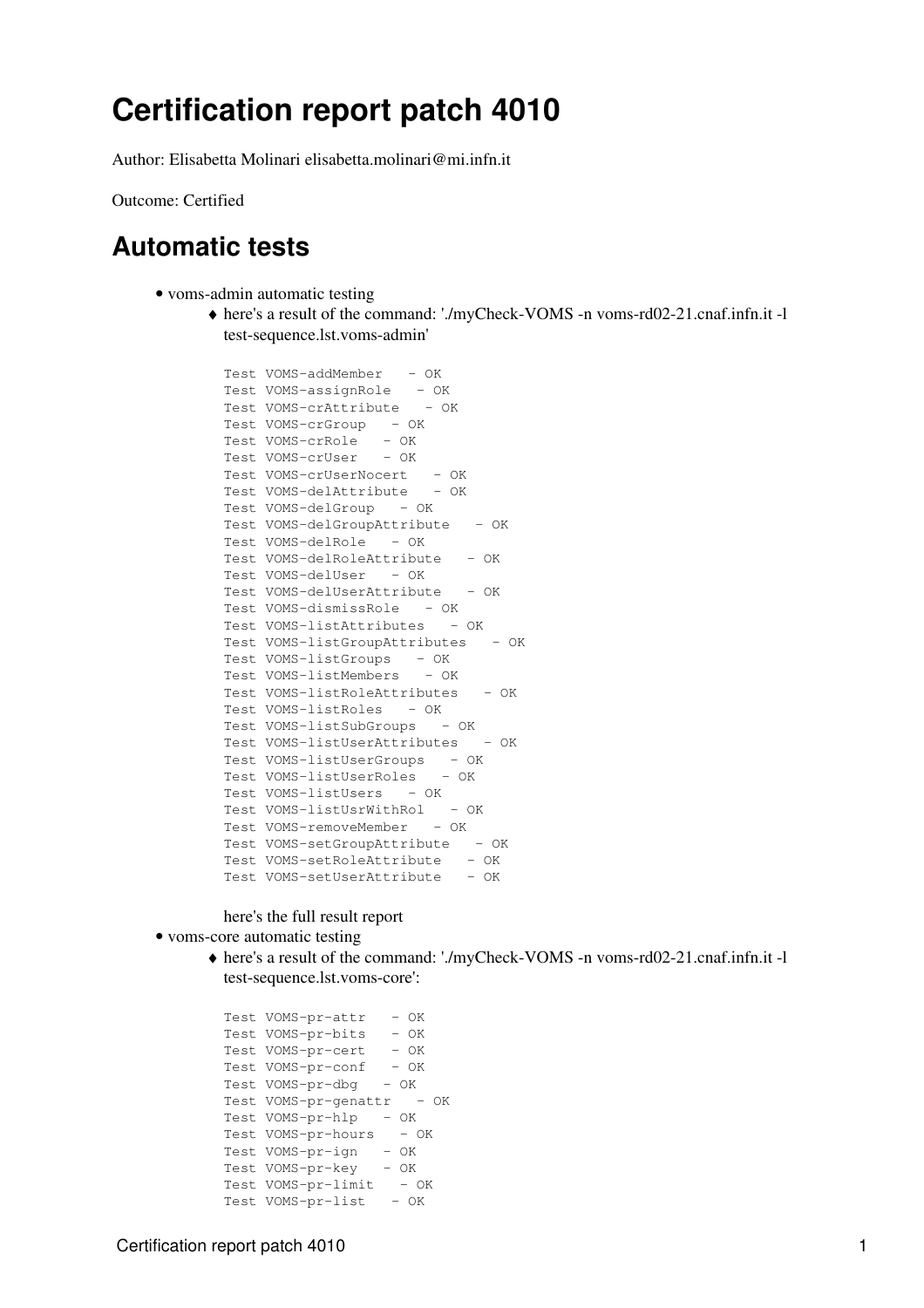## <span id="page-1-0"></span>**Certification report patch [4010](https://savannah.cern.ch/patch/?func=detailitem&item_id=4010)**

Author: Elisabetta Molinari [elisabetta.molinari@mi.infn.it](mailto:elisabetta.molinari@mi.infn.it)

Outcome: Certified

### <span id="page-1-1"></span>**Automatic tests**

- voms-admin automatic testing
	- here's a result of the command: './myCheck-VOMS -n voms-rd02-21.cnaf.infn.it -l ♦ test-sequence.lst.voms-admin'

```
Test VOMS-addMember - OK
Test VOMS-assignRole - OK
Test VOMS-crAttribute - OK
Test VOMS-crGroup - OK
Test VOMS-crRole - OK
Test VOMS-crUser - OK
Test VOMS-crUserNocert - OK
Test VOMS-delAttribute - OK
Test VOMS-delGroup - OK
Test VOMS-delGroupAttribute - OK
Test VOMS-delRole - OK
Test VOMS-delRoleAttribute - OK
Test VOMS-delUser - OK
Test VOMS-delUserAttribute - OK
Test VOMS-dismissRole - OK
Test VOMS-listAttributes - OK
Test VOMS-listGroupAttributes - OK
Test VOMS-listGroups - OK
Test VOMS-listMembers - OK
Test VOMS-listRoleAttributes - OK
Test VOMS-listRoles - OK
Test VOMS-listSubGroups - OK
Test VOMS-listUserAttributes - OK
Test VOMS-listUserGroups - OK
Test VOMS-listUserRoles - OK
Test VOMS-listUsers - OK
Test VOMS-listUsrWithRol - OK
Test VOMS-removeMember - OK
Test VOMS-setGroupAttribute - OK
Test VOMS-setRoleAttribute - OK
Test VOMS-setUserAttribute - OK
```
#### here's the full result [report](https://twiki.cnaf.infn.it/twiki/pub/EgeeJra1It/VomsTestsP4010/full_result.gz)

- voms-core automatic testing
	- here's a result of the command: './myCheck-VOMS -n voms-rd02-21.cnaf.infn.it -l ♦ test-sequence.lst.voms-core':

Test VOMS-pr-attr - OK Test VOMS-pr-bits - OK Test VOMS-pr-cert - OK Test VOMS-pr-conf - OK Test VOMS-pr-dbg - OK Test VOMS-pr-genattr - OK Test VOMS-pr-hlp - OK Test VOMS-pr-hours - OK Test VOMS-pr-ign - OK Test VOMS-pr-key - OK  $Test$  VOMS- $pr-limit$  - OK Test VOMS-pr-list - OK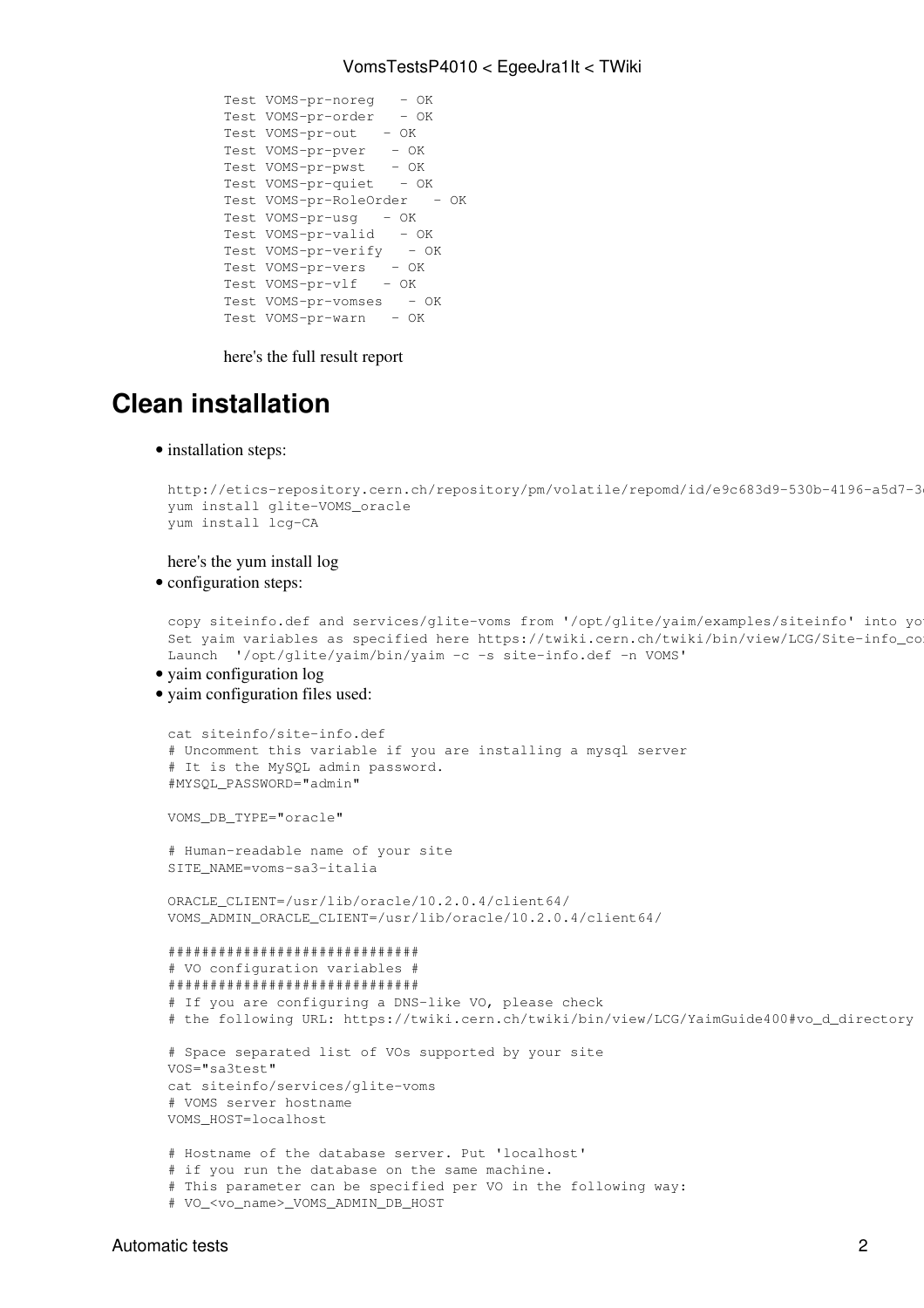#### VomsTestsP4010 < EgeeJra1It < TWiki

Test VOMS-pr-noreg - OK Test VOMS-pr-order - OK Test VOMS-pr-out - OK Test VOMS-pr-pver - OK Test VOMS-pr-pwst - OK Test VOMS-pr-quiet - OK Test VOMS-pr-RoleOrder - OK Test VOMS-pr-usq - OK Test VOMS-pr-valid - OK Test VOMS-pr-verify - OK Test VOMS-pr-vers - OK Test VOMS-pr-vlf - OK Test VOMS-pr-vomses - OK Test VOMS-pr-warn - OK

here's the full result [report](https://twiki.cnaf.infn.it/twiki/pub/EgeeJra1It/VomsTestsP4010/full_result.gz)

## <span id="page-2-0"></span>**Clean installation**

• installation steps:

```
http://etics-repository.cern.ch/repository/pm/volatile/repomd/id/e9c683d9-530b-4196-a5d7-3
yum install glite-VOMS_oracle
yum install lcg-CA
```
here's the yum install [log](https://twiki.cnaf.infn.it/twiki/pub/EgeeJra1It/VomsTestsP4010/yum_install_glite_VOMS)

• configuration steps:

```
copy siteinfo.def and services/glite-voms from '/opt/glite/yaim/examples/siteinfo' into yo
Set yaim variables as specified here https://twiki.cern.ch/twiki/bin/view/LCG/Site-info_co
Launch '/opt/glite/yaim/bin/yaim -c -s site-info.def -n VOMS'
```
• yaim configuration [log](https://twiki.cnaf.infn.it/twiki/bin/viewfile/EgeeJra1It/VomsTestsP4010?rev=1;filename=yaim_conf_voms_oracle)

VOMS\_HOST=localhost

yaim configuration files used: •

```
cat siteinfo/site-info.def
# Uncomment this variable if you are installing a mysql server
# It is the MySQL admin password. 
#MYSQL_PASSWORD="admin"
VOMS_DB_TYPE="oracle"
# Human-readable name of your site
SITE_NAME=voms-sa3-italia
ORACLE_CLIENT=/usr/lib/oracle/10.2.0.4/client64/
VOMS_ADMIN_ORACLE_CLIENT=/usr/lib/oracle/10.2.0.4/client64/
##############################
# VO configuration variables #
##############################
# If you are configuring a DNS-like VO, please check
# the following URL: https://twiki.cern.ch/twiki/bin/view/LCG/YaimGuide400#vo_d_directory
# Space separated list of VOs supported by your site
VOS="sa3test"
cat siteinfo/services/glite-voms
# VOMS server hostname
```

```
# Hostname of the database server. Put 'localhost'
# if you run the database on the same machine.
# This parameter can be specified per VO in the following way:
# VO_<vo_name>_VOMS_ADMIN_DB_HOST
```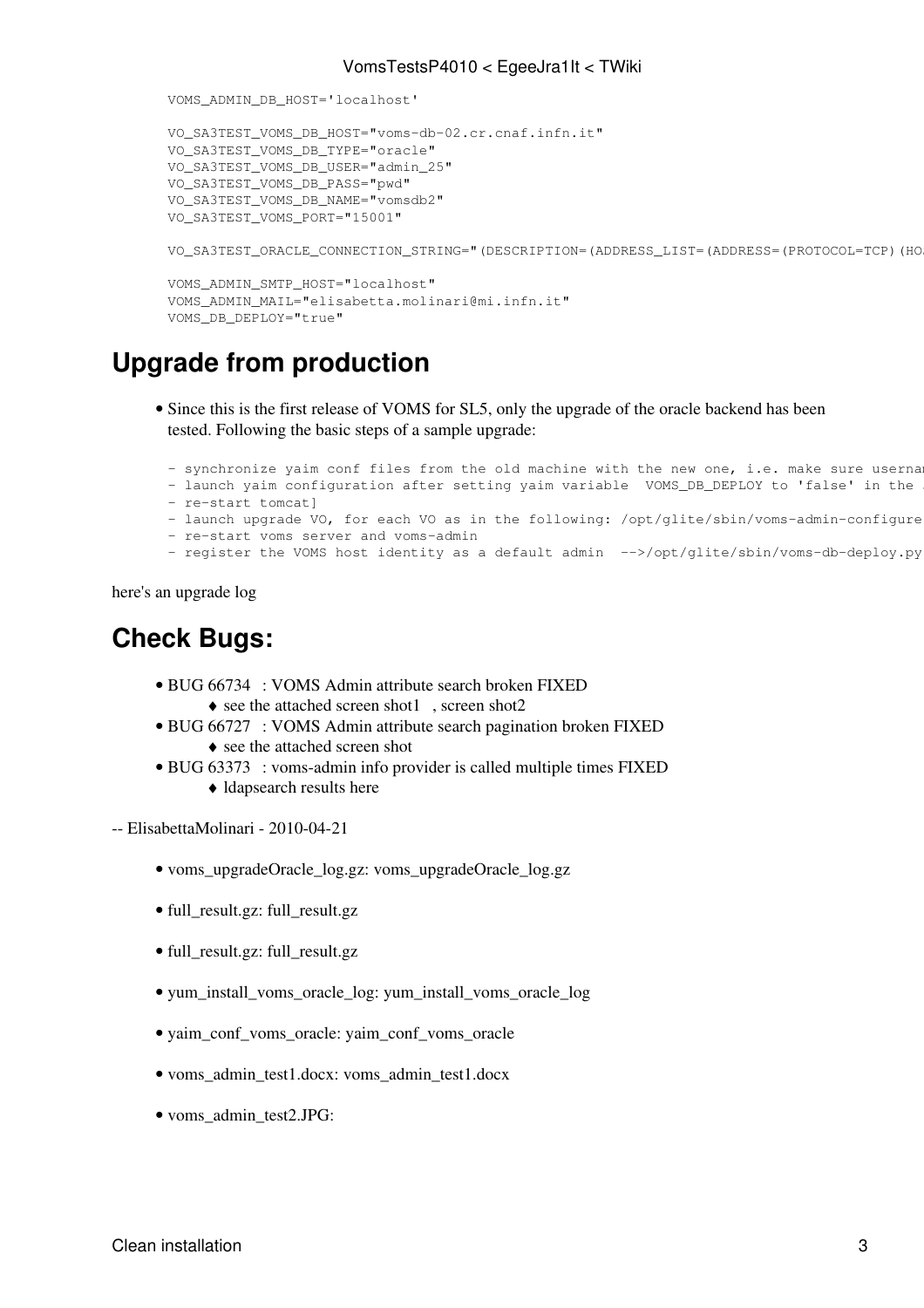```
VOMS_ADMIN_DB_HOST='localhost'
VO_SA3TEST_VOMS_DB_HOST="voms-db-02.cr.cnaf.infn.it"
VO_SA3TEST_VOMS_DB_TYPE="oracle"
VO_SA3TEST_VOMS_DB_USER="admin_25"
VO_SA3TEST_VOMS_DB_PASS="pwd"
VO_SA3TEST_VOMS_DB_NAME="vomsdb2"
VO_SA3TEST_VOMS_PORT="15001"
VO_SA3TEST_ORACLE_CONNECTION_STRING="(DESCRIPTION=(ADDRESS_LIST=(ADDRESS=(PROTOCOL=TCP)(HO
VOMS ADMIN SMTP HOST="localhost"
VOMS_ADMIN_MAIL="elisabetta.molinari@mi.infn.it"
VOMS_DB_DEPLOY="true"
```
## <span id="page-3-0"></span>**Upgrade from production**

- Since this is the first release of VOMS for SL5, only the upgrade of the oracle backend has been tested. Following the basic steps of a sample upgrade:
	- synchronize yaim conf files from the old machine with the new one, i.e. make sure userna
	- launch yaim configuration after setting yaim variable VOMS\_DB\_DEPLOY to 'false' in the
	- re-start tomcat]
	- launch upgrade VO, for each VO as in the following: /opt/glite/sbin/voms-admin-configure
- re-start voms server and voms-admin
- register the VOMS host identity as a default admin -->/opt/glite/sbin/voms-db-deploy.py

here's an upgrade [log](https://twiki.cnaf.infn.it/twiki/pub/EgeeJra1It/VomsTestsP4010/voms_upgradeOracle_log.gz)

## <span id="page-3-1"></span>**Check Bugs:**

- BUG [66734](https://savannah.cern.ch/bugs/index.php?66734) : VOMS Admin attribute search broken FIXED • see the attached [screen shot1](https://twiki.cnaf.infn.it/twiki/pub/EgeeJra1It/VomsTestsP4010/voms_admin_test1.docx), [screen shot2](https://twiki.cnaf.infn.it/twiki/pub/EgeeJra1It/VomsTestsP4010/voms_admin_test.tar)
- BUG [66727](https://savannah.cern.ch/bugs/?66727) : VOMS Admin attribute search pagination broken FIXED
	- ♦ see the attached [screen shot](https://twiki.cnaf.infn.it/twiki/pub/EgeeJra1It/VomsTestsP4010/voms_admin_test66727.tar)
- BUG [63373](https://savannah.cern.ch/bugs/?63373) : voms-admin info provider is called multiple times FIXED
	- ♦ ldapsearch results [here](https://twiki.cnaf.infn.it/twiki/pub/EgeeJra1It/VomsTestsP4010/ldapsearch_results)

-- [ElisabettaMolinari](https://wiki-igi.cnaf.infn.it/twiki/bin/edit/Main/ElisabettaMolinari?topicparent=EgeeJra1It.VomsTestsP4010;nowysiwyg=0) - 2010-04-21

- [voms\\_upgradeOracle\\_log.gz:](https://wiki-igi.cnaf.infn.it/twiki/pub/EgeeJra1It/VomsTestsP4010/voms_upgradeOracle_log.gz) voms\_upgradeOracle\_log.gz
- [full\\_result.gz](https://wiki-igi.cnaf.infn.it/twiki/pub/EgeeJra1It/VomsTestsP4010/full_result.gz): full\_result.gz
- [full\\_result.gz](https://wiki-igi.cnaf.infn.it/twiki/pub/EgeeJra1It/VomsTestsP4010/full_result.gz): full\_result.gz
- [yum\\_install\\_voms\\_oracle\\_log](https://wiki-igi.cnaf.infn.it/twiki/pub/EgeeJra1It/VomsTestsP4010/yum_install_voms_oracle_log): yum\_install\_voms\_oracle\_log
- [yaim\\_conf\\_voms\\_oracle:](https://wiki-igi.cnaf.infn.it/twiki/pub/EgeeJra1It/VomsTestsP4010/yaim_conf_voms_oracle) yaim\_conf\_voms\_oracle
- [voms\\_admin\\_test1.docx](https://wiki-igi.cnaf.infn.it/twiki/pub/EgeeJra1It/VomsTestsP4010/voms_admin_test1.docx): voms\_admin\_test1.docx
- voms\_admin\_test2.JPG: